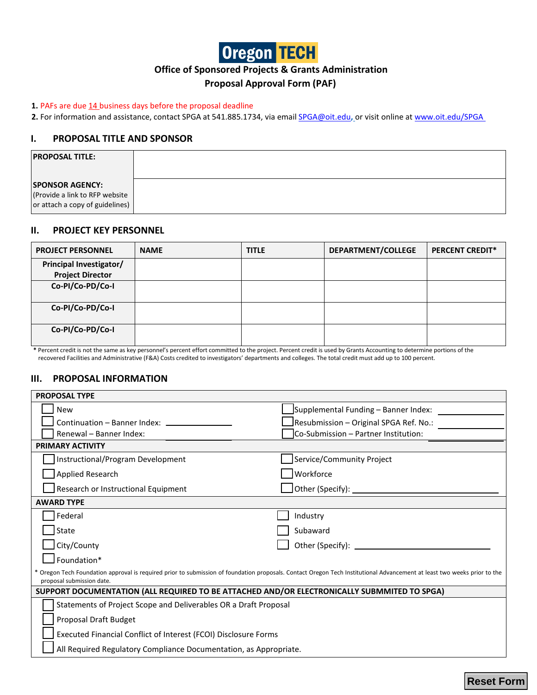

## **Office of Sponsored Projects & Grants Administration**

## **Proposal Approval Form (PAF)**

#### **1.** PAFs are due 14 business days before the proposal deadline

**2.** For information and assistance, contact SPGA at 541.885.1734, via email[SPGA@oit.edu](mailto:SPGA@oit.edu)**,** or visit online at [www.oit.edu/SPGA](http://www.oit.edu/SPGA)

## **I. PROPOSAL TITLE AND SPONSOR**

| <b>PROPOSAL TITLE:</b>                                                                      |  |
|---------------------------------------------------------------------------------------------|--|
| <b>SPONSOR AGENCY:</b><br>(Provide a link to RFP website<br>or attach a copy of guidelines) |  |

## **II. PROJECT KEY PERSONNEL**

| <b>PROJECT PERSONNEL</b>       | <b>NAME</b> | <b>TITLE</b> | DEPARTMENT/COLLEGE | <b>PERCENT CREDIT*</b> |
|--------------------------------|-------------|--------------|--------------------|------------------------|
| <b>Principal Investigator/</b> |             |              |                    |                        |
| <b>Project Director</b>        |             |              |                    |                        |
| Co-PI/Co-PD/Co-I               |             |              |                    |                        |
|                                |             |              |                    |                        |
| Co-PI/Co-PD/Co-I               |             |              |                    |                        |
|                                |             |              |                    |                        |
| Co-PI/Co-PD/Co-I               |             |              |                    |                        |
|                                |             |              |                    |                        |

**\*** Percent credit is not the same as key personnel's percent effort committed to the project. Percent credit is used by Grants Accounting to determine portions of the recovered Facilities and Administrative (F&A) Costs credited to investigators' departments and colleges. The total credit must add up to 100 percent.

## **III. PROPOSAL INFORMATION**

| <b>PROPOSAL TYPE</b>                                                                                                                                                                                  |                                                                 |  |  |  |  |  |
|-------------------------------------------------------------------------------------------------------------------------------------------------------------------------------------------------------|-----------------------------------------------------------------|--|--|--|--|--|
| New                                                                                                                                                                                                   | Supplemental Funding - Banner Index:                            |  |  |  |  |  |
| Continuation - Banner Index: ___________                                                                                                                                                              | Resubmission - Original SPGA Ref. No.:                          |  |  |  |  |  |
| Renewal - Banner Index:                                                                                                                                                                               | Co-Submission - Partner Institution:                            |  |  |  |  |  |
| <b>PRIMARY ACTIVITY</b>                                                                                                                                                                               |                                                                 |  |  |  |  |  |
| Instructional/Program Development                                                                                                                                                                     | Service/Community Project                                       |  |  |  |  |  |
| Applied Research                                                                                                                                                                                      | Workforce                                                       |  |  |  |  |  |
| Research or Instructional Equipment                                                                                                                                                                   | $\Box$ Other (Specify): $\Box$                                  |  |  |  |  |  |
| <b>AWARD TYPE</b>                                                                                                                                                                                     |                                                                 |  |  |  |  |  |
| Federal                                                                                                                                                                                               | Industry                                                        |  |  |  |  |  |
| State                                                                                                                                                                                                 | Subaward                                                        |  |  |  |  |  |
| City/County                                                                                                                                                                                           |                                                                 |  |  |  |  |  |
| $\mathsf I$ Foundation*                                                                                                                                                                               |                                                                 |  |  |  |  |  |
| * Oregon Tech Foundation approval is required prior to submission of foundation proposals. Contact Oregon Tech Institutional Advancement at least two weeks prior to the<br>proposal submission date. |                                                                 |  |  |  |  |  |
| SUPPORT DOCUMENTATION (ALL REQUIRED TO BE ATTACHED AND/OR ELECTRONICALLY SUBMMITED TO SPGA)                                                                                                           |                                                                 |  |  |  |  |  |
| Statements of Project Scope and Deliverables OR a Draft Proposal                                                                                                                                      |                                                                 |  |  |  |  |  |
| Proposal Draft Budget                                                                                                                                                                                 |                                                                 |  |  |  |  |  |
|                                                                                                                                                                                                       | Executed Financial Conflict of Interest (FCOI) Disclosure Forms |  |  |  |  |  |
| All Required Regulatory Compliance Documentation, as Appropriate.                                                                                                                                     |                                                                 |  |  |  |  |  |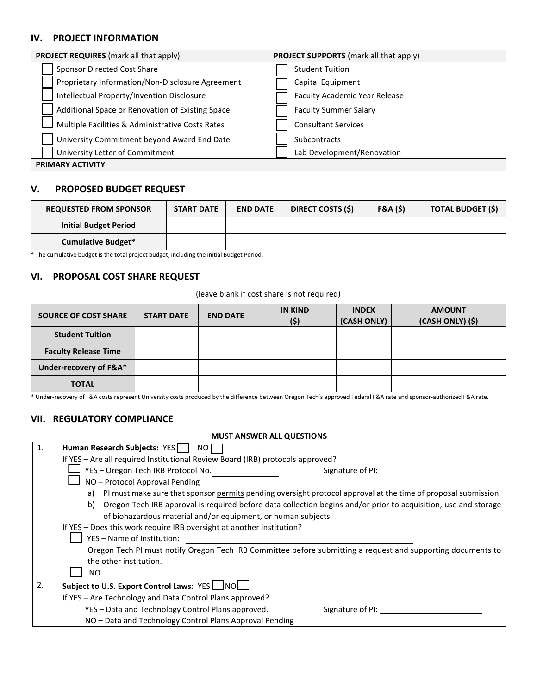## **IV. PROJECT INFORMATION**

| <b>PROJECT REQUIRES</b> (mark all that apply)    | <b>PROJECT SUPPORTS</b> (mark all that apply) |
|--------------------------------------------------|-----------------------------------------------|
| Sponsor Directed Cost Share                      | <b>Student Tuition</b>                        |
| Proprietary Information/Non-Disclosure Agreement | Capital Equipment                             |
| Intellectual Property/Invention Disclosure       | <b>Faculty Academic Year Release</b>          |
| Additional Space or Renovation of Existing Space | <b>Faculty Summer Salary</b>                  |
| Multiple Facilities & Administrative Costs Rates | <b>Consultant Services</b>                    |
| University Commitment beyond Award End Date      | <b>Subcontracts</b>                           |
| University Letter of Commitment                  | Lab Development/Renovation                    |
| <b>PRIMARY ACTIVITY</b>                          |                                               |

## **V. PROPOSED BUDGET REQUEST**

| <b>REQUESTED FROM SPONSOR</b> | <b>START DATE</b> | <b>END DATE</b> | <b>DIRECT COSTS (\$)</b> | F&A(5) | <b>TOTAL BUDGET (\$)</b> |
|-------------------------------|-------------------|-----------------|--------------------------|--------|--------------------------|
| <b>Initial Budget Period</b>  |                   |                 |                          |        |                          |
| <b>Cumulative Budget*</b>     |                   |                 |                          |        |                          |

\* The cumulative budget is the total project budget, including the initial Budget Period.

## **VI. PROPOSAL COST SHARE REQUEST**

#### (leave blank if cost share is not required)

| <b>SOURCE OF COST SHARE</b> | <b>START DATE</b> | <b>END DATE</b> | <b>IN KIND</b><br>(5) | <b>INDEX</b><br>(CASH ONLY) | <b>AMOUNT</b><br>(CASH ONLY) (\$) |
|-----------------------------|-------------------|-----------------|-----------------------|-----------------------------|-----------------------------------|
| <b>Student Tuition</b>      |                   |                 |                       |                             |                                   |
| <b>Faculty Release Time</b> |                   |                 |                       |                             |                                   |
| Under-recovery of F&A*      |                   |                 |                       |                             |                                   |
| <b>TOTAL</b>                |                   |                 |                       |                             |                                   |

\* Under-recovery of F&A costs represent University costs produced by the difference between Oregon Tech's approved Federal F&A rate and sponsor-authorized F&A rate.

## **VII. REGULATORY COMPLIANCE**

|    | <b>MUST ANSWER ALL QUESTIONS</b>                                                                                      |
|----|-----------------------------------------------------------------------------------------------------------------------|
| 1. | Human Research Subjects: YES<br>NO I                                                                                  |
|    | If YES - Are all required Institutional Review Board (IRB) protocols approved?                                        |
|    | YES - Oregon Tech IRB Protocol No.<br>Signature of PI:                                                                |
|    | NO - Protocol Approval Pending                                                                                        |
|    | PI must make sure that sponsor permits pending oversight protocol approval at the time of proposal submission.<br>a)  |
|    | Oregon Tech IRB approval is required before data collection begins and/or prior to acquisition, use and storage<br>b) |
|    | of biohazardous material and/or equipment, or human subjects.                                                         |
|    | If YES - Does this work require IRB oversight at another institution?                                                 |
|    | YES - Name of Institution:                                                                                            |
|    | Oregon Tech PI must notify Oregon Tech IRB Committee before submitting a request and supporting documents to          |
|    | the other institution.                                                                                                |
|    | ΝO                                                                                                                    |
| 2. | Subject to U.S. Export Control Laws: YES ___ NO                                                                       |
|    | If YES - Are Technology and Data Control Plans approved?                                                              |
|    | YES - Data and Technology Control Plans approved.<br>Signature of PI:                                                 |
|    | NO - Data and Technology Control Plans Approval Pending                                                               |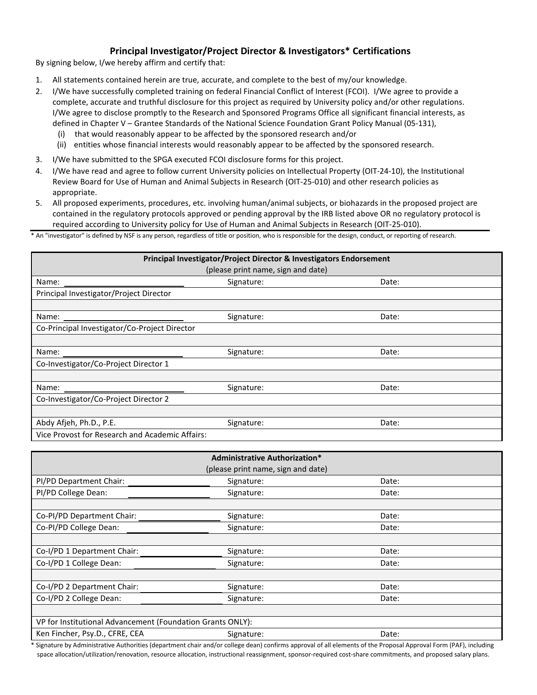## **Principal Investigator/Project Director & Investigators\* Certifications**

By signing below, I/we hereby affirm and certify that:

- 1. All statements contained herein are true, accurate, and complete to the best of my/our knowledge.
- 2. I/We have successfully completed training on federal Financial Conflict of Interest (FCOI). I/We agree to provide a complete, accurate and truthful disclosure for this project as required by University policy and/or other regulations. I/We agree to disclose promptly to the Research and Sponsored Programs Office all significant financial interests, as defined in Chapter V – Grantee Standards of the National Science Foundation Grant Policy Manual (05-131),
	- (i) that would reasonably appear to be affected by the sponsored research and/or
	- (ii) entities whose financial interests would reasonably appear to be affected by the sponsored research.
- 3. I/We have submitted to the SPGA executed FCOI disclosure forms for this project.
- 4. I/We have read and agree to follow current University policies on Intellectual Property (OIT-24-10), the Institutional Review Board for Use of Human and Animal Subjects in Research (OIT-25-010) and other research policies as appropriate.
- 5. All proposed experiments, procedures, etc. involving human/animal subjects, or biohazards in the proposed project are contained in the regulatory protocols approved or pending approval by the IRB listed above OR no regulatory protocol is required according to University policy for Use of Human and Animal Subjects in Research (OIT-25-010).

\* An "investigator" is defined by NSF is any person, regardless of title or position, who is responsible for the design, conduct, or reporting of research.

|                                                 | Principal Investigator/Project Director & Investigators Endorsement |       |
|-------------------------------------------------|---------------------------------------------------------------------|-------|
|                                                 | (please print name, sign and date)                                  |       |
| Name:                                           | Signature:                                                          | Date: |
| Principal Investigator/Project Director         |                                                                     |       |
|                                                 |                                                                     |       |
|                                                 | Signature:                                                          | Date: |
| Co-Principal Investigator/Co-Project Director   |                                                                     |       |
|                                                 |                                                                     |       |
| Name:                                           | Signature:                                                          | Date: |
| Co-Investigator/Co-Project Director 1           |                                                                     |       |
|                                                 |                                                                     |       |
| Name:                                           | Signature:                                                          | Date: |
| Co-Investigator/Co-Project Director 2           |                                                                     |       |
|                                                 |                                                                     |       |
| Abdy Afjeh, Ph.D., P.E.                         | Signature:                                                          | Date: |
| Vice Provost for Research and Academic Affairs: |                                                                     |       |

|                                                            | <b>Administrative Authorization*</b> |       |
|------------------------------------------------------------|--------------------------------------|-------|
|                                                            | (please print name, sign and date)   |       |
| PI/PD Department Chair:                                    | Signature:                           | Date: |
| PI/PD College Dean:                                        | Signature:                           | Date: |
|                                                            |                                      |       |
| Co-PI/PD Department Chair:                                 | Signature:                           | Date: |
| Co-PI/PD College Dean:                                     | Signature:                           | Date: |
|                                                            |                                      |       |
| Co-I/PD 1 Department Chair:                                | Signature:                           | Date: |
| Co-I/PD 1 College Dean:                                    | Signature:                           | Date: |
|                                                            |                                      |       |
| Co-I/PD 2 Department Chair:                                | Signature:                           | Date: |
| Co-I/PD 2 College Dean:                                    | Signature:                           | Date: |
|                                                            |                                      |       |
| VP for Institutional Advancement (Foundation Grants ONLY): |                                      |       |
| Ken Fincher, Psy.D., CFRE, CEA                             | Signature:                           | Date: |

\* Signature by Administrative Authorities (department chair and/or college dean) confirms approval of all elements of the Proposal Approval Form (PAF), including space allocation/utilization/renovation, resource allocation, instructional reassignment, sponsor-required cost-share commitments, and proposed salary plans.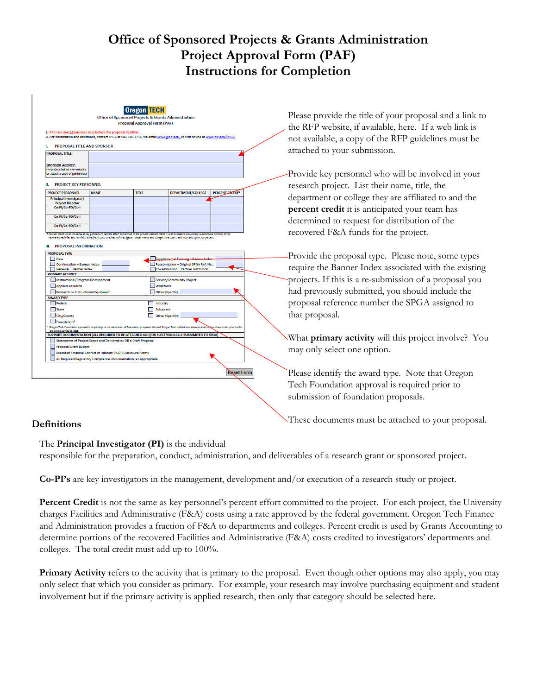# **Office of Sponsored Projects & Grants Administration Project Approval Form (PAF) Instructions for Completion**

| <b>Oregon ITH:</b><br>Office of Sponsored Projects & Grants Administration<br><b>Proposal Approval Form (PAF)</b><br>1. PAFs are due 14 business days before the proposal deadline<br>2. For information and assistance, contact SPGA at 541.885.1734, via email SPGA@oit.edu, or visit online at www.oit.edu/SPGA |                                                                                                                                                                                                          |                                                              |                                                                                                                                                               |                        |  | Please provide the title of<br>the RFP website, if availa<br>not available, a copy of the |
|--------------------------------------------------------------------------------------------------------------------------------------------------------------------------------------------------------------------------------------------------------------------------------------------------------------------|----------------------------------------------------------------------------------------------------------------------------------------------------------------------------------------------------------|--------------------------------------------------------------|---------------------------------------------------------------------------------------------------------------------------------------------------------------|------------------------|--|-------------------------------------------------------------------------------------------|
| PROPOSAL TITLE AND SPONSOR                                                                                                                                                                                                                                                                                         |                                                                                                                                                                                                          |                                                              |                                                                                                                                                               |                        |  |                                                                                           |
| <b>PROPOSAL TITLE:</b><br><b>SPONSOR AGENCY:</b><br>(Provide a link to RFP website<br>or attach a copy of guidelines)                                                                                                                                                                                              |                                                                                                                                                                                                          |                                                              |                                                                                                                                                               |                        |  | attached to your submiss<br>Provide key personnel w                                       |
| <b>PROJECT KEY PERSONNEL</b>                                                                                                                                                                                                                                                                                       |                                                                                                                                                                                                          |                                                              |                                                                                                                                                               |                        |  | research project. List the                                                                |
| <b>PROJECT PERSONNEL</b>                                                                                                                                                                                                                                                                                           | <b>NAME</b>                                                                                                                                                                                              | <b>TITLE</b>                                                 | <b>DEPARTMENT/COLLEGE</b>                                                                                                                                     | <b>PERCENT CREDIT*</b> |  | department or college the                                                                 |
| <b>Principal Investigator/</b><br><b>Project Director</b>                                                                                                                                                                                                                                                          |                                                                                                                                                                                                          |                                                              |                                                                                                                                                               |                        |  |                                                                                           |
| Co-PI/Co-PD/Co-I                                                                                                                                                                                                                                                                                                   |                                                                                                                                                                                                          |                                                              |                                                                                                                                                               |                        |  | percent credit it is antic.                                                               |
| Co-PI/Co-PD/Co-I                                                                                                                                                                                                                                                                                                   |                                                                                                                                                                                                          |                                                              |                                                                                                                                                               |                        |  | determined to request for                                                                 |
| Co-PI/Co-PD/Co-I                                                                                                                                                                                                                                                                                                   |                                                                                                                                                                                                          |                                                              |                                                                                                                                                               |                        |  | recovered F&A funds for                                                                   |
| PRIMARY ACTIVITY<br><b>Instructional/Program Development</b><br>Applied Research<br>Research or Instructional Equipment<br><b>AWARD TYPE</b><br>Federal<br>State                                                                                                                                                   |                                                                                                                                                                                                          | <b>Workforce</b><br>Other (Specify):<br>Industry<br>Subaward | <b>Service/Community Project</b>                                                                                                                              |                        |  | projects. If this is a re-sul<br>had previously submitted<br>proposal reference numb      |
| City/County<br>Foundation*                                                                                                                                                                                                                                                                                         |                                                                                                                                                                                                          |                                                              | Other (Specify):<br>Oregon Tech Foundation approval is required prior to submission of foundation proposals. Contact Oregon Tech Institutional Advancement at |                        |  | that proposal.                                                                            |
|                                                                                                                                                                                                                                                                                                                    |                                                                                                                                                                                                          |                                                              | SUPPORT DOCUMENTATION (ALL REQUIRED TO BE ATTACHED AND/OR ELECTRONICALLY SUBMMITED TO SPGA)                                                                   |                        |  | What <b>primary activity</b> v                                                            |
| <b>Proposal Draft Budget</b>                                                                                                                                                                                                                                                                                       | Statements of Project Scope and Deliverables OR a Draft Proposal<br>Executed Financial Conflict of Interest (FCOI) Disclosure Forms<br>All Required Regulatory Compliance Documentation, as Appropriate. |                                                              |                                                                                                                                                               |                        |  | may only select one option                                                                |
|                                                                                                                                                                                                                                                                                                                    |                                                                                                                                                                                                          |                                                              |                                                                                                                                                               |                        |  |                                                                                           |

## **Definitions**

The **Principal Investigator (PI)** is the individual

responsible for the preparation, conduct, administration, and deliverables of a research grant or sponsored project.

**Co-PI's** are key investigators in the management, development and/or execution of a research study or project.

Percent Credit is not the same as key personnel's percent effort committed to the project. For each project, the University charges Facilities and Administrative (F&A) costs using a rate approved by the federal government. Oregon Tech Finance and Administration provides a fraction of F&A to departments and colleges. Percent credit is used by Grants Accounting to determine portions of the recovered Facilities and Administrative (F&A) costs credited to investigators' departments and colleges. The total credit must add up to 100%.

**Primary Activity** refers to the activity that is primary to the proposal. Even though other options may also apply, you may only select that which you consider as primary. For example, your research may involve purchasing equipment and student involvement but if the primary activity is applied research, then only that category should be selected here.

f your proposal and a link to able, here. If a web link is he RFP guidelines must be .<br>ion.

ho will be involved in your eir name, title, the ey are affiliated to and the ipated your team has r distribution of the r the project.

e. Please note, some types associated with the existing bmission of a proposal you d, you should include the per the SPGA assigned to

will this project involve? You may only select one option.

type. Note that Oregon ral is required prior to n proposals.

These documents must be attached to your proposal.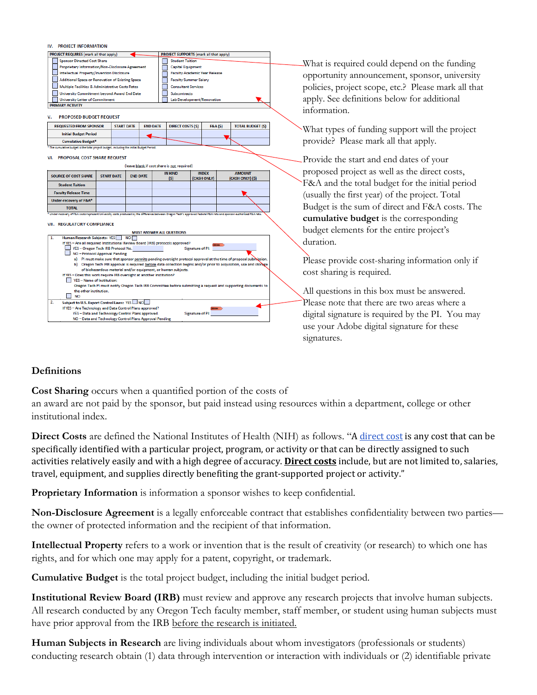| IV. PROJECT INFORMATION                                                                                                                                                             |                                             |                                        |                         |  |                                                     |
|-------------------------------------------------------------------------------------------------------------------------------------------------------------------------------------|---------------------------------------------|----------------------------------------|-------------------------|--|-----------------------------------------------------|
| <b>PROJECT REQUIRES</b> (mark all that apply)                                                                                                                                       |                                             | PROJECT SUPPORTS (mark all that apply) |                         |  |                                                     |
| <b>Sponsor Directed Cost Share</b><br><b>Student Tuition</b>                                                                                                                        |                                             |                                        |                         |  | What is required could depend on the funding        |
| Proprietary Information/Non-Disclosure Agreement<br><b>Capital Equipment</b>                                                                                                        |                                             |                                        |                         |  |                                                     |
| <b>Intellectual Property/Invention Disclosure</b>                                                                                                                                   |                                             | <b>Faculty Academic Year Release</b>   |                         |  | opportunity announcement, sponsor, university       |
| Additional Space or Renovation of Existing Space                                                                                                                                    |                                             | <b>Faculty Summer Salary</b>           |                         |  |                                                     |
| Multiple Facilities & Administrative Costs Rates                                                                                                                                    | <b>Consultant Services</b>                  |                                        |                         |  | policies, project scope, etc.? Please mark all that |
| University Commitment beyond Award End Date                                                                                                                                         | <b>Subcontracts</b>                         |                                        |                         |  |                                                     |
| <b>University Letter of Commitment</b><br><b>PRIMARY ACTIVITY</b>                                                                                                                   |                                             | Lab Development/Renovation             |                         |  | apply. See definitions below for additional         |
|                                                                                                                                                                                     |                                             |                                        |                         |  | information.                                        |
| <b>PROPOSED BUDGET REQUEST</b>                                                                                                                                                      |                                             |                                        |                         |  |                                                     |
| <b>REQUESTED FROM SPONSOR</b><br><b>START DATE</b>                                                                                                                                  | <b>END DATE</b><br><b>DIRECT COSTS (\$)</b> | <b>F&amp;A</b> (\$)                    | <b>TOTAL BUDGET (S)</b> |  | What types of funding support will the project      |
| <b>Initial Budget Period</b>                                                                                                                                                        |                                             |                                        |                         |  |                                                     |
| <b>Cumulative Budget*</b>                                                                                                                                                           |                                             |                                        |                         |  | provide? Please mark all that apply.                |
| The cumulative budget is the total project budget, including the initial Budget Period.                                                                                             |                                             |                                        |                         |  |                                                     |
| VI. PROPOSAL COST SHARE REQUEST                                                                                                                                                     |                                             |                                        |                         |  |                                                     |
|                                                                                                                                                                                     | (leave blank if cost share is not required) |                                        |                         |  | Provide the start and end dates of your             |
|                                                                                                                                                                                     | <b>IN KIND</b>                              | <b>INDEX</b>                           | <b>AMOUNT</b>           |  | proposed project as well as the direct costs,       |
| <b>SOURCE OF COST SHARE</b><br><b>START DATE</b><br><b>END DATE</b>                                                                                                                 | (S)                                         | (CASH ONLY)                            | (CASH ONLY) (S)         |  |                                                     |
| <b>Student Tuition</b>                                                                                                                                                              |                                             |                                        |                         |  | F&A and the total budget for the initial period     |
| <b>Faculty Release Time</b>                                                                                                                                                         |                                             |                                        |                         |  | (usually the first year) of the project. Total      |
| Under-recovery of F&A*                                                                                                                                                              |                                             |                                        |                         |  |                                                     |
| <b>TOTAL</b>                                                                                                                                                                        |                                             |                                        |                         |  | Budget is the sum of direct and F&A costs. The      |
| .<br>Under-recovery of F&A costs represent University costs produced by the difference between Oregon Tech's approved Federal F&A rate and sponsor-authorized F&A rate.             |                                             |                                        |                         |  | cumulative budget is the corresponding              |
| VII. REGULATORY COMPLIANCE                                                                                                                                                          |                                             |                                        |                         |  |                                                     |
|                                                                                                                                                                                     | <b>MUST ANSWER ALL QUESTIONS</b>            |                                        |                         |  | budget elements for the entire project's            |
| Human Research Subjects: YES<br><b>NO</b>                                                                                                                                           |                                             |                                        |                         |  | duration.                                           |
| If YES - Are all required Institutional Review Board (IRB) protocols approved?<br>YES - Oregon Tech IRB Protocol No.                                                                |                                             | Signature of PI                        |                         |  |                                                     |
| NO - Protocol Approval Pending                                                                                                                                                      |                                             |                                        |                         |  |                                                     |
| a) PI must make sure that sponsor permits pending oversight protocol approval at the time of proposal submission                                                                    |                                             |                                        |                         |  | Please provide cost-sharing information only if     |
| b) Oregon Tech IRB approval is required before data collection begins and/or prior to acquisition, use and storage<br>of biohazardous material and/or equipment, or human subjects. |                                             |                                        |                         |  |                                                     |
| If YES - Does this work require IRB oversight at another institution?                                                                                                               |                                             |                                        |                         |  | cost sharing is required.                           |
| YES - Name of Institution:                                                                                                                                                          |                                             |                                        |                         |  |                                                     |
| Oregon Tech PI must notify Oregon Tech IRB Committee before submitting a request and supporting documents to<br>the other institution.                                              |                                             |                                        |                         |  |                                                     |
| <b>NO</b><br>$\mathsf{L}$                                                                                                                                                           |                                             |                                        |                         |  | All questions in this box must be answered.         |
| Subject to U.S. Export Control Laws: YES                                                                                                                                            |                                             |                                        |                         |  | Please note that there are two areas where a        |
| If YES - Are Technology and Data Control Plans approved?                                                                                                                            |                                             | <b>Signature of PI:</b>                |                         |  |                                                     |
| YES - Data and Technology Control Plans approved.<br>NO - Data and Technology Control Plans Approval Pending                                                                        |                                             |                                        |                         |  | digital signature is required by the PI. You may    |
|                                                                                                                                                                                     |                                             |                                        |                         |  | use your Adobe digital signature for these          |
|                                                                                                                                                                                     |                                             |                                        |                         |  |                                                     |

## **Definitions**

**Cost Sharing** occurs when a quantified portion of the costs of

an award are not paid by the sponsor, but paid instead using resources within a department, college or other institutional index.

**Direct Costs** are defined the National Institutes of Health (NIH) as follows. "A [direct cost](https://grants.nih.gov/grants/policy/nihgps/html5/section_1/1.2_definition_of_terms.htm#direct_costs) is any cost that can be specifically identified with a particular project, program, or activity or that can be directly assigned to such activities relatively easily and with a high degree of accuracy. **[Direct costs](https://grants.nih.gov/grants/policy/nihgps/html5/section_7/7.3_direct_costs_and_facilities_and_administrative_costs.htm)** include, but are not limited to, salaries, travel, equipment, and supplies directly benefiting the grant-supported project or activity."

**Proprietary Information** is information a sponsor wishes to keep confidential.

**Non-Disclosure Agreement** is a legally enforceable contract that establishes confidentiality between two parties the owner of protected information and the recipient of that information.

**Intellectual Property** refers to a work or invention that is the result of creativity (or research) to which one has rights, and for which one may apply for a patent, copyright, or trademark.

**Cumulative Budget** is the total project budget, including the initial budget period.

**Institutional Review Board (IRB)** must review and approve any research projects that involve human subjects. All research conducted by any Oregon Tech faculty member, staff member, or student using human subjects must have prior approval from the IRB before the research is initiated.

**Human Subjects in Research** are living individuals about whom investigators (professionals or students) conducting research obtain (1) data through intervention or interaction with individuals or (2) identifiable private